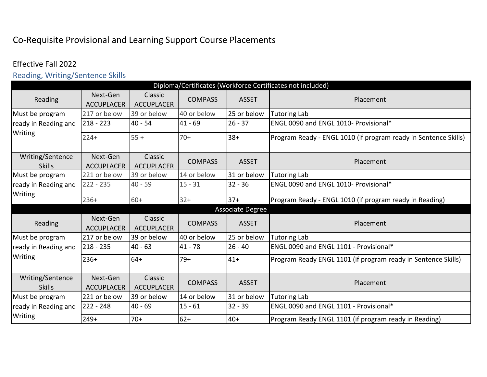# Co-Requisite Provisional and Learning Support Course Placements

# Effective Fall 2022

Reading, Writing/Sentence Skills

|                                   |                               |                              |                |                  | Diploma/Certificates (Workforce Certificates not included)      |
|-----------------------------------|-------------------------------|------------------------------|----------------|------------------|-----------------------------------------------------------------|
| Reading                           | Next-Gen<br><b>ACCUPLACER</b> | Classic<br><b>ACCUPLACER</b> | <b>COMPASS</b> | <b>ASSET</b>     | Placement                                                       |
| Must be program                   | 217 or below                  | 39 or below                  | 40 or below    | 25 or below      | <b>Tutoring Lab</b>                                             |
| ready in Reading and              | $218 - 223$                   | $40 - 54$                    | $41 - 69$      | $26 - 37$        | ENGL 0090 and ENGL 1010- Provisional*                           |
| Writing                           | $224+$                        | $55 +$                       | $70+$          | $38+$            | Program Ready - ENGL 1010 (if program ready in Sentence Skills) |
| Writing/Sentence<br><b>Skills</b> | Next-Gen<br><b>ACCUPLACER</b> | Classic<br><b>ACCUPLACER</b> | <b>COMPASS</b> | <b>ASSET</b>     | Placement                                                       |
| Must be program                   | 221 or below                  | 39 or below                  | 14 or below    | 31 or below      | <b>Tutoring Lab</b>                                             |
| ready in Reading and              | $222 - 235$                   | $40 - 59$                    | $15 - 31$      | $32 - 36$        | ENGL 0090 and ENGL 1010- Provisional*                           |
| Writing                           | $236+$                        | $60+$                        | $32+$          | $37+$            | Program Ready - ENGL 1010 (if program ready in Reading)         |
|                                   |                               |                              |                | Associate Degree |                                                                 |
| Reading                           | Next-Gen<br><b>ACCUPLACER</b> | Classic<br><b>ACCUPLACER</b> | <b>COMPASS</b> | <b>ASSET</b>     | Placement                                                       |
| Must be program                   | 217 or below                  | 39 or below                  | 40 or below    | 25 or below      | <b>Tutoring Lab</b>                                             |
| ready in Reading and              | $218 - 235$                   | $40 - 63$                    | $41 - 78$      | $26 - 40$        | ENGL 0090 and ENGL 1101 - Provisional*                          |
| Writing                           | $236+$                        | $64+$                        | $79+$          | $41+$            | Program Ready ENGL 1101 (if program ready in Sentence Skills)   |
| Writing/Sentence<br><b>Skills</b> | Next-Gen<br><b>ACCUPLACER</b> | Classic<br><b>ACCUPLACER</b> | <b>COMPASS</b> | <b>ASSET</b>     | Placement                                                       |
| Must be program                   | 221 or below                  | 39 or below                  | 14 or below    | 31 or below      | <b>Tutoring Lab</b>                                             |
| ready in Reading and              | $222 - 248$                   | $40 - 69$                    | $15 - 61$      | $32 - 39$        | ENGL 0090 and ENGL 1101 - Provisional*                          |
| Writing                           | $249+$                        | $70+$                        | $62+$          | $40+$            | Program Ready ENGL 1101 (if program ready in Reading)           |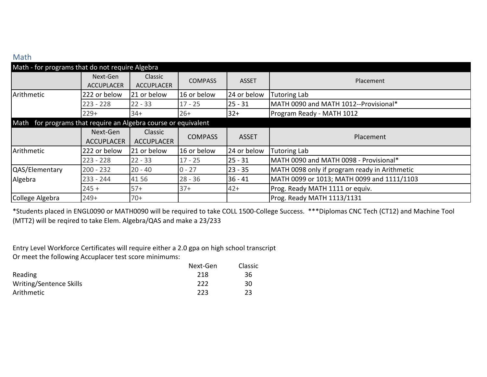# Math

| Math - for programs that do not require Algebra                |                               |                                     |                |              |                                               |
|----------------------------------------------------------------|-------------------------------|-------------------------------------|----------------|--------------|-----------------------------------------------|
|                                                                | Next-Gen<br><b>ACCUPLACER</b> | <b>Classic</b><br><b>ACCUPLACER</b> | <b>COMPASS</b> | <b>ASSET</b> | Placement                                     |
| Arithmetic                                                     | 222 or below                  | 21 or below                         | 16 or below    | 24 or below  | <b>Tutoring Lab</b>                           |
|                                                                | $223 - 228$                   | $22 - 33$                           | $17 - 25$      | $25 - 31$    | MATH 0090 and MATH 1012--Provisional*         |
|                                                                | $229+$                        | $34+$                               | $26+$          | $32+$        | Program Ready - MATH 1012                     |
| Math for programs that require an Algebra course or equivalent |                               |                                     |                |              |                                               |
|                                                                | Next-Gen                      | Classic                             | <b>COMPASS</b> | <b>ASSET</b> | Placement                                     |
|                                                                | <b>ACCUPLACER</b>             | <b>ACCUPLACER</b>                   |                |              |                                               |
| Arithmetic                                                     | 222 or below                  | 21 or below                         | 16 or below    | 24 or below  | <b>Tutoring Lab</b>                           |
|                                                                | $223 - 228$                   | $22 - 33$                           | $17 - 25$      | $25 - 31$    | MATH 0090 and MATH 0098 - Provisional*        |
| QAS/Elementary                                                 | $200 - 232$                   | $20 - 40$                           | $0 - 27$       | $23 - 35$    | MATH 0098 only if program ready in Arithmetic |
| Algebra                                                        | $233 - 244$                   | 4156                                | $28 - 36$      | $36 - 41$    | MATH 0099 or 1013; MATH 0099 and 1111/1103    |
|                                                                | $245 +$                       | $57+$                               | $37+$          | $42+$        | Prog. Ready MATH 1111 or equiv.               |
| College Algebra                                                | $249+$                        | $70+$                               |                |              | Prog. Ready MATH 1113/1131                    |

\*Students placed in ENGL0090 or MATH0090 will be required to take COLL 1500-College Success. \*\*\*Diplomas CNC Tech (CT12) and Machine Tool (MTT2) will be reqired to take Elem. Algebra/QAS and make a 23/233

Entry Level Workforce Certificates will require either a 2.0 gpa on high school transcript Or meet the following Accuplacer test score minimums:

|                         | Next-Gen | Classic |
|-------------------------|----------|---------|
| Reading                 | 218      | 36      |
| Writing/Sentence Skills | 222      | 30      |
| Arithmetic              | 223      | 23      |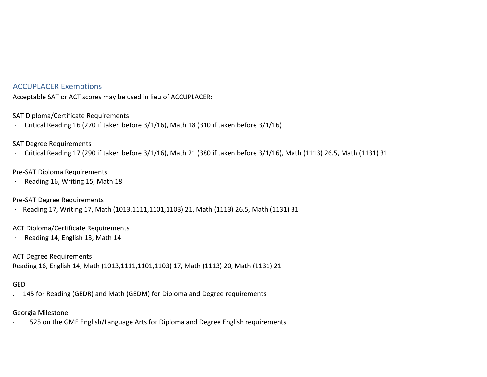## ACCUPLACER Exemptions

Acceptable SAT or ACT scores may be used in lieu of ACCUPLACER:

SAT Diploma/Certificate Requirements

· Critical Reading 16 (270 if taken before 3/1/16), Math 18 (310 if taken before 3/1/16)

SAT Degree Requirements

· Critical Reading 17 (290 if taken before 3/1/16), Math 21 (380 if taken before 3/1/16), Math (1113) 26.5, Math (1131) 31

#### Pre-SAT Diploma Requirements

· Reading 16, Writing 15, Math 18

Pre-SAT Degree Requirements

· Reading 17, Writing 17, Math (1013,1111,1101,1103) 21, Math (1113) 26.5, Math (1131) 31

ACT Diploma/Certificate Requirements

· Reading 14, English 13, Math 14

ACT Degree Requirements

Reading 16, English 14, Math (1013,1111,1101,1103) 17, Math (1113) 20, Math (1131) 21

### GED

. 145 for Reading (GEDR) and Math (GEDM) for Diploma and Degree requirements

#### Georgia Milestone

525 on the GME English/Language Arts for Diploma and Degree English requirements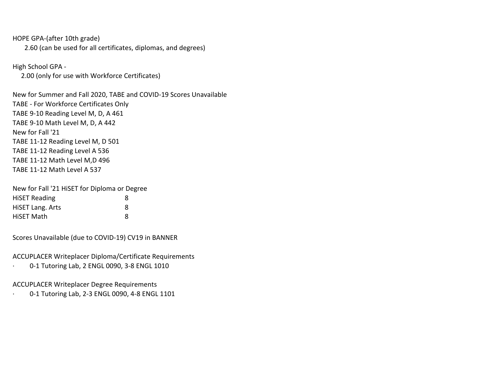HOPE GPA-(after 10th grade)

2.60 (can be used for all certificates, diplomas, and degrees)

High School GPA -

 $\ddot{\phantom{a}}$ 

2.00 (only for use with Workforce Certificates)

New for Summer and Fall 2020, TABE and COVID-19 Scores Unavailable TABE - For Workforce Certificates Only TABE 9-10 Reading Level M, D, A 461 TABE 9-10 Math Level M, D, A 442 New for Fall '21 TABE 11-12 Reading Level M, D 501 TABE 11-12 Reading Level A 536 TABE 11-12 Math Level M,D 496 TABE 11-12 Math Level A 537

New for Fall '21 HiSET for Diploma or Degree HiSET Reading 8 HiSET Lang. Arts 8 HiSET Math 8

Scores Unavailable (due to COVID-19) CV19 in BANNER

ACCUPLACER Writeplacer Diploma/Certificate Requirements

 $\ddot{\phantom{a}}$ · 0-1 Tutoring Lab, 2 ENGL 0090, 3-8 ENGL 1010

#### ACCUPLACER Writeplacer Degree Requirements

0-1 Tutoring Lab, 2-3 ENGL 0090, 4-8 ENGL 1101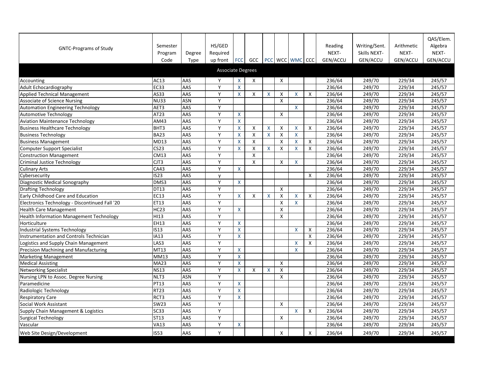|                                                 |                  |             |                          |                    |              |   |                           |                           |              |                 |               |            | QAS/Elem. |
|-------------------------------------------------|------------------|-------------|--------------------------|--------------------|--------------|---|---------------------------|---------------------------|--------------|-----------------|---------------|------------|-----------|
|                                                 | Semester         |             | HS/GED                   |                    |              |   |                           |                           |              | Reading         | Writing/Sent. | Arithmetic | Algebra   |
| <b>GNTC-Programs of Study</b>                   | Program          | Degree      | Required                 |                    |              |   |                           |                           |              | NEXT-           | Skills NEXT-  | NEXT-      | NEXT-     |
|                                                 | Code             | <b>Type</b> | up front                 |                    | FCC GCC      |   |                           | PCC WCC WMC CCC           |              | <b>GEN/ACCU</b> | GEN/ACCU      | GEN/ACCU   | GEN/ACCU  |
|                                                 |                  |             |                          |                    |              |   |                           |                           |              |                 |               |            |           |
|                                                 |                  |             | <b>Associate Degrees</b> |                    |              |   |                           |                           |              |                 |               |            |           |
| Accounting                                      | <b>AC13</b>      | <b>AAS</b>  | Y                        | X                  | X            |   | X                         |                           |              | 236/64          | 249/70        | 229/34     | 245/57    |
| Adult Echocardiography                          | EC33             | AAS         | Y                        | X                  |              |   |                           |                           |              | 236/64          | 249/70        | 229/34     | 245/57    |
| <b>Applied Technical Management</b>             | <b>AS33</b>      | AAS         | Y                        | X                  | X            | X | X                         | X                         | X            | 236/64          | 249/70        | 229/34     | 245/57    |
| <b>Associate of Science Nursing</b>             | <b>NU33</b>      | <b>ASN</b>  | Y                        |                    |              |   | X                         |                           |              | 236/64          | 249/70        | 229/34     | 245/57    |
| <b>Automation Engineering Technology</b>        | AET3             | AAS         | Y                        |                    |              |   |                           | X                         |              | 236/64          | 249/70        | 229/34     | 245/57    |
| <b>Automotive Technology</b>                    | <b>AT23</b>      | AAS         | Y                        | $\pmb{\mathsf{X}}$ |              |   | X                         |                           |              | 236/64          | 249/70        | 229/34     | 245/57    |
| <b>Aviation Maintenance Technology</b>          | AM43             | AAS         | Y                        | $\pmb{\mathsf{X}}$ |              |   |                           |                           |              | 236/64          | 249/70        | 229/34     | 245/57    |
| <b>Business Healthcare Technology</b>           | <b>BHT3</b>      | <b>AAS</b>  | Y                        | X                  | $\sf X$      | X | X                         | $\boldsymbol{\mathsf{X}}$ | X            | 236/64          | 249/70        | 229/34     | 245/57    |
| <b>Business Technology</b>                      | <b>BA23</b>      | AAS         | Y                        | X                  | X            | X | X                         | $\boldsymbol{\mathsf{X}}$ |              | 236/64          | 249/70        | 229/34     | 245/57    |
| <b>Business Management</b>                      | <b>MD13</b>      | AAS         | Y                        | X                  | X            |   | X                         | X                         | X            | 236/64          | 249/70        | 229/34     | 245/57    |
| <b>Computer Support Specialist</b>              | <b>CS23</b>      | AAS         | Y                        | X                  | X            | X | X                         | $\boldsymbol{\mathsf{X}}$ | X            | 236/64          | 249/70        | 229/34     | 245/57    |
| <b>Construction Management</b>                  | <b>CM13</b>      | AAS         | Y                        |                    | $\mathsf{X}$ |   |                           |                           |              | 236/64          | 249/70        | 229/34     | 245/57    |
| Criminal Justice Technology                     | CJT3             | AAS         | Y                        |                    | X            |   | X                         | X                         |              | 236/64          | 249/70        | 229/34     | 245/57    |
| <b>Culinary Arts</b>                            | <b>CA43</b>      | AAS         | Y                        | X                  |              |   |                           |                           |              | 236/64          | 249/70        | 229/34     | 245/57    |
| Cybersecurity                                   | <b>IS23</b>      | AAS         | y                        |                    |              |   |                           |                           | X            | 236/64          | 249/70        | 229/34     | 245/57    |
| Diagnostic Medical Sonography                   | DMS3             | AAS         | Y                        | X                  |              |   |                           |                           |              | 236/64          | 249/70        | 229/34     | 245/57    |
| <b>Drafting Technology</b>                      | DT13             | AAS         | Y                        |                    |              |   | X                         |                           |              | 236/64          | 249/70        | 229/34     | 245/57    |
| Early Childhood Care and Education              | <b>EC13</b>      | AAS         | Y                        | X                  | $\sf X$      | X | $\boldsymbol{\mathsf{X}}$ | $\boldsymbol{\mathsf{X}}$ | X            | 236/64          | 249/70        | 229/34     | 245/57    |
| Electronics Technology - Discontinued Fall '20  | ET13             | AAS         | Y                        |                    |              |   | X                         | X                         |              | 236/64          | 249/70        | 229/34     | 245/57    |
| <b>Health Care Management</b>                   | HC <sub>23</sub> | AAS         | Y                        | $\pmb{\mathsf{X}}$ |              |   | X                         |                           |              | 236/64          | 249/70        | 229/34     | 245/57    |
| <b>Health Information Management Technology</b> | HI13             | <b>AAS</b>  | Y                        |                    |              |   | X                         |                           |              | 236/64          | 249/70        | 229/34     | 245/57    |
| Horticulture                                    | EH <sub>13</sub> | AAS         | Y                        | $\pmb{\mathsf{X}}$ |              |   |                           |                           |              | 236/64          | 249/70        | 229/34     | 245/57    |
| Industrial Systems Technology                   | <b>IS13</b>      | AAS         | Y                        | X.                 |              |   |                           | X                         | X            | 236/64          | 249/70        | 229/34     | 245/57    |
| Instrumentation and Controls Technician         | <b>IA13</b>      | <b>AAS</b>  | Y                        | $\mathsf{X}^-$     |              |   |                           |                           | X            | 236/64          | 249/70        | 229/34     | 245/57    |
| Logistics and Supply Chain Management           | LAS3             | <b>AAS</b>  | Y                        |                    |              |   |                           | X                         | $\mathsf{X}$ | 236/64          | 249/70        | 229/34     | 245/57    |
| <b>Precision Machining and Manufacturing</b>    | MT13             | <b>AAS</b>  | Y                        | $\mathsf{X}$       |              |   |                           | X                         |              | 236/64          | 249/70        | 229/34     | 245/57    |
| <b>Marketing Management</b>                     | <b>MM13</b>      | AAS         | Y                        | X                  |              |   |                           |                           |              | 236/64          | 249/70        | 229/34     | 245/57    |
| <b>Medical Assisting</b>                        | <b>MA23</b>      | AAS         | Y                        | $\pmb{\mathsf{X}}$ |              |   | X                         |                           |              | 236/64          | 249/70        | 229/34     | 245/57    |
| <b>Networking Specialist</b>                    | <b>NS13</b>      | AAS         | Y                        | X                  | Χ            | X | X                         |                           |              | 236/64          | 249/70        | 229/34     | 245/57    |
| Nursing LPN to Assoc. Degree Nursing            | NLT3             | <b>ASN</b>  | Υ                        |                    |              |   | X                         |                           |              | 236/64          | 249/70        | 229/34     | 245/57    |
| Paramedicine                                    | <b>PT13</b>      | AAS         | Y                        | X.                 |              |   |                           |                           |              | 236/64          | 249/70        | 229/34     | 245/57    |
| Radiologic Technology                           | <b>RT23</b>      | AAS         | Υ                        | X.                 |              |   |                           |                           |              | 236/64          | 249/70        | 229/34     | 245/57    |
| <b>Respiratory Care</b>                         | RCT3             | AAS         | Y                        | X                  |              |   |                           |                           |              | 236/64          | 249/70        | 229/34     | 245/57    |
| Social Work Assistant                           | <b>SW23</b>      | AAS         | Y                        |                    |              |   | X                         |                           |              | 236/64          | 249/70        | 229/34     | 245/57    |
| Supply Chain Management & Logistics             | SC <sub>33</sub> | AAS         | Y                        |                    |              |   |                           | $\mathsf{X}$              | $\mathsf{X}$ | 236/64          | 249/70        | 229/34     | 245/57    |
| Surgical Technology                             | <b>ST13</b>      | AAS         | Y                        |                    |              |   | X                         |                           |              | 236/64          | 249/70        | 229/34     | 245/57    |
| Vascular                                        | <b>VA13</b>      | AAS         | Y                        | $\mathsf{X}^-$     |              |   |                           |                           |              | 236/64          | 249/70        | 229/34     | 245/57    |
| <b>Web Site Design/Development</b>              | <b>IS53</b>      | AAS         | Υ                        |                    |              |   | X                         |                           | $\mathsf{X}$ | 236/64          | 249/70        | 229/34     | 245/57    |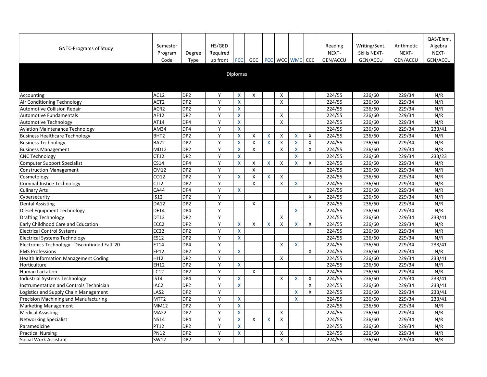| <b>GNTC-Programs of Study</b>                  | Semester<br>Program<br>Code | Degree<br><b>Type</b> | HS/GED<br>Required<br>up front | <b>FCC</b>         | GCC                |    |         | PCC   WCC   WMC   CCC     |   | Reading<br>NEXT-<br>GEN/ACCU | Writing/Sent.<br>Skills NEXT-<br>GEN/ACCU | Arithmetic<br>NEXT-<br>GEN/ACCU | QAS/Elem.<br>Algebra<br>NEXT-<br>GEN/ACCU |
|------------------------------------------------|-----------------------------|-----------------------|--------------------------------|--------------------|--------------------|----|---------|---------------------------|---|------------------------------|-------------------------------------------|---------------------------------|-------------------------------------------|
|                                                |                             |                       |                                | Diplomas           |                    |    |         |                           |   |                              |                                           |                                 |                                           |
| Accounting                                     | AC12                        | DP <sub>2</sub>       | Y                              | X                  | X                  |    | X       |                           |   | 224/55                       | 236/60                                    | 229/34                          | N/R                                       |
| Air Conditioning Technology                    | ACT <sub>2</sub>            | DP <sub>2</sub>       | Y                              | $\mathsf{X}$       |                    |    | X       |                           |   | 224/55                       | 236/60                                    | 229/34                          | N/R                                       |
| <b>Automotive Collision Repair</b>             | ACR <sub>2</sub>            | DP <sub>2</sub>       | Y                              | $\boldsymbol{X}$   |                    |    |         |                           |   | 224/55                       | 236/60                                    | 229/34                          | N/R                                       |
| <b>Automotive Fundamentals</b>                 | AF12                        | DP <sub>2</sub>       | Y                              | X                  |                    |    | X       |                           |   | 224/55                       | 236/60                                    | 229/34                          | N/R                                       |
| <b>Automotive Technology</b>                   | AT14                        | DP4                   | Y                              | $\pmb{\mathsf{X}}$ |                    |    | X       |                           |   | 224/55                       | 236/60                                    | 229/34                          | N/R                                       |
| <b>Aviation Maintenance Technology</b>         | AM34                        | DP4                   | Y                              | X                  |                    |    |         |                           |   | 224/55                       | 236/60                                    | 229/34                          | 233/41                                    |
| <b>Business Healthcare Technology</b>          | BHT <sub>2</sub>            | DP <sub>2</sub>       | Y                              | X                  | X                  | Χ  | X       | X                         | X | 224/55                       | 236/60                                    | 229/34                          | N/R                                       |
| <b>Business Technology</b>                     | <b>BA22</b>                 | DP <sub>2</sub>       | Y                              | X                  |                    | X. | X       |                           | X | 224/55                       | 236/60                                    | 229/34                          | N/R                                       |
| <b>Business Management</b>                     | <b>MD12</b>                 | DP <sub>2</sub>       | Y                              | X                  | X                  |    | $\sf X$ | $\boldsymbol{\mathsf{X}}$ | X | 224/55                       | 236/60                                    | 229/34                          | N/R                                       |
| <b>CNC Technology</b>                          | CT12                        | DP <sub>2</sub>       | Y                              | X                  |                    |    |         | X                         |   | 224/55                       | 236/60                                    | 229/34                          | 233/23                                    |
| <b>Computer Support Specialist</b>             | <b>CS14</b>                 | DP4                   | Y                              | X                  | $\pmb{\mathsf{X}}$ | X  | X       | X                         | X | 224/55                       | 236/60                                    | 229/34                          | N/R                                       |
| <b>Construction Management</b>                 | <b>CM12</b>                 | DP <sub>2</sub>       | Y                              |                    | X                  |    |         |                           |   | 224/55                       | 236/60                                    | 229/34                          | N/R                                       |
| Cosmetology                                    | CO12                        | DP <sub>2</sub>       | Υ                              | X                  | X                  | X  | X       |                           |   | 224/55                       | 236/60                                    | 229/34                          | N/R                                       |
| <b>Criminal Justice Technology</b>             | CJT <sub>2</sub>            | DP <sub>2</sub>       | Y                              |                    | X                  |    | X       | X                         |   | 224/55                       | 236/60                                    | 229/34                          | N/R                                       |
| <b>Culinary Arts</b>                           | <b>CA44</b>                 | DP4                   | Y                              | $\mathsf{X}$       |                    |    |         |                           |   | 224/55                       | 236/60                                    | 229/34                          | N/R                                       |
| Cybersecurity                                  | <b>IS12</b>                 | DP <sub>2</sub>       | Y                              |                    |                    |    |         |                           | X | 224/55                       | 236/60                                    | 229/34                          | N/R                                       |
| <b>Dental Assisting</b>                        | <b>DA12</b>                 | DP <sub>2</sub>       | Y                              |                    | X                  |    |         |                           |   | 224/55                       | 236/60                                    | 229/34                          | N/R                                       |
| Diesel Equipment Technology                    | DET4                        | DP4                   | Y                              |                    |                    |    |         | $\mathsf{X}$              |   | 224/55                       | 236/60                                    | 229/34                          | N/R                                       |
| <b>Drafting Technology</b>                     | <b>DT12</b>                 | DP <sub>2</sub>       | Y                              |                    |                    |    | X       |                           |   | 224/55                       | 236/60                                    | 229/34                          | 233/41                                    |
| Early Childhood Care and Education             | ECC <sub>2</sub>            | DP <sub>2</sub>       | Y                              | X                  | Χ                  | X  | X       | X                         | X | 224/55                       | 236/60                                    | 229/34                          | N/R                                       |
| <b>Electrical Control Systems</b>              | EC <sub>22</sub>            | DP <sub>2</sub>       | V                              | X                  |                    |    |         |                           |   | 224/55                       | 236/60                                    | 229/34                          | N/R                                       |
| <b>Electrical Systems Technology</b>           | <b>ES12</b>                 | DP <sub>2</sub>       | Y                              | $\mathsf{X}$       |                    |    |         |                           |   | 224/55                       | 236/60                                    | 229/34                          | N/R                                       |
| Electronics Technology - Discontinued Fall '20 | ET14                        | DP4                   | Y                              |                    |                    |    | X       | X                         |   | 224/55                       | 236/60                                    | 229/34                          | 233/41                                    |
| <b>EMS Professions</b>                         | <b>EP12</b>                 | DP <sub>2</sub>       | Y                              | $\mathsf{X}$       |                    |    |         |                           | X | 224/55                       | 236/60                                    | 229/34                          | N/R                                       |
| <b>Health Information Management Coding</b>    | HI12                        | DP <sub>2</sub>       | Y                              |                    |                    |    | X       |                           |   | 224/55                       | 236/60                                    | 229/34                          | 233/41                                    |
| Horticulture                                   | <b>EH12</b>                 | DP <sub>2</sub>       | Y                              | $\mathsf{X}$       |                    |    |         |                           |   | 224/55                       | 236/60                                    | 229/34                          | N/R                                       |
| Human Lactation                                | LC12                        | DP <sub>2</sub>       | Y                              |                    | X                  |    |         |                           |   | 224/55                       | 236/60                                    | 229/34                          | N/R                                       |
| Industrial Systems Technology                  | IST4                        | DP4                   | Y                              | $\boldsymbol{X}$   |                    |    | X       | $\boldsymbol{\mathsf{X}}$ | X | 224/55                       | 236/60                                    | 229/34                          | 233/41                                    |
| Instrumentation and Controls Technician        | IAC <sub>2</sub>            | DP <sub>2</sub>       | Y                              | X                  |                    |    |         |                           | X | 224/55                       | 236/60                                    | 229/34                          | 233/41                                    |
| Logistics and Supply Chain Management          | LAS2                        | DP <sub>2</sub>       | Y                              |                    |                    |    |         | X                         | X | 224/55                       | 236/60                                    | 229/34                          | 233/41                                    |
| Precision Machining and Manufacturing          | MTT <sub>2</sub>            | DP <sub>2</sub>       | Υ                              | X                  |                    |    |         | X                         |   | 224/55                       | 236/60                                    | 229/34                          | 233/41                                    |
| <b>Marketing Management</b>                    | <b>MM12</b>                 | DP <sub>2</sub>       | Y                              | X                  |                    |    |         |                           |   | 224/55                       | 236/60                                    | 229/34                          | N/R                                       |
| <b>Medical Assisting</b>                       | <b>MA22</b>                 | DP <sub>2</sub>       | Y                              | $\mathsf{X}$       |                    |    | X       |                           |   | 224/55                       | 236/60                                    | 229/34                          | N/R                                       |
| <b>Networking Specialist</b>                   | <b>NS14</b>                 | DP4                   | Y                              | X                  | X                  | X  | X       |                           |   | 224/55                       | 236/60                                    | 229/34                          | N/R                                       |
| Paramedicine                                   | <b>PT12</b>                 | DP <sub>2</sub>       | Y                              | X                  |                    |    |         |                           |   | 224/55                       | 236/60                                    | 229/34                          | N/R                                       |
| <b>Practical Nursing</b>                       | <b>PN12</b>                 | DP <sub>2</sub>       | Y                              | X                  |                    |    | X       |                           |   | 224/55                       | 236/60                                    | 229/34                          | N/R                                       |
| Social Work Assistant                          | <b>SW12</b>                 | DP <sub>2</sub>       | Y                              |                    |                    |    | X       |                           |   | 224/55                       | 236/60                                    | 229/34                          | N/R                                       |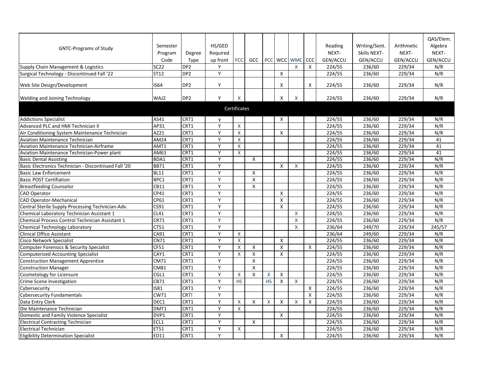|                                                      |             |                 |              |                         |            |           |                    |              |              |                 |                     |                 | QAS/Elem.       |
|------------------------------------------------------|-------------|-----------------|--------------|-------------------------|------------|-----------|--------------------|--------------|--------------|-----------------|---------------------|-----------------|-----------------|
| <b>GNTC-Programs of Study</b>                        | Semester    |                 | HS/GED       |                         |            |           |                    |              |              | Reading         | Writing/Sent.       | Arithmetic      | Algebra         |
|                                                      | Program     | Degree          | Required     |                         |            |           |                    |              |              | NEXT-           | <b>Skills NEXT-</b> | NEXT-           | NEXT-           |
|                                                      | Code        | Type            | up front     | <b>FCC</b>              | <b>GCC</b> |           |                    | PCC WCC WMC  | CCC          | <b>GEN/ACCU</b> | <b>GEN/ACCU</b>     | <b>GEN/ACCU</b> | <b>GEN/ACCU</b> |
| Supply Chain Management & Logistics                  | <b>SC22</b> | DP <sub>2</sub> |              |                         |            |           |                    | X            | X            | 224/55          | 236/60              | 229/34          | N/R             |
| Surgical Technology - Discontinued Fall '22          | <b>ST12</b> | DP <sub>2</sub> | Y            |                         |            |           | X                  |              |              | 224/55          | 236/60              | 229/34          | N/R             |
|                                                      |             |                 |              |                         |            |           |                    |              |              |                 |                     |                 |                 |
| <b>Web Site Design/Development</b>                   | <b>IS64</b> | DP <sub>2</sub> | Y            |                         |            |           | X                  |              | X            | 224/55          | 236/60              | 229/34          | N/R             |
|                                                      | WAJ2        | DP <sub>2</sub> | Υ            | X                       |            |           | X                  | X            |              | 224/55          | 236/60              | 229/34          | N/R             |
| <b>Welding and Joining Technology</b>                |             |                 |              |                         |            |           |                    |              |              |                 |                     |                 |                 |
|                                                      |             |                 |              | Certificates            |            |           |                    |              |              |                 |                     |                 |                 |
| <b>Addictions Specialist</b>                         | AS41        | CRT1            | $\mathsf{v}$ |                         |            |           | X                  |              |              | 224/55          | 236/60              | 229/34          | N/R             |
| Advanced PLC and HMI Technician II                   | AP31        | CRT1            | Y            | $\overline{\mathsf{X}}$ |            |           |                    |              |              | 224/55          | 236/60              | 229/34          | N/R             |
| Air Conditioning System Maintenance Technician       | AZ21        | CRT1            | Y            | X                       |            |           | X                  |              |              | 224/55          | 236/60              | 229/34          | N/R             |
| <b>Aviation Maintenance Technician</b>               | <b>AM24</b> | CRT1            | Y            | $\mathsf{X}$            |            |           |                    |              |              | 224/55          | 236/60              | 229/34          | 41              |
| Aviation Maintenance Technician-Airframe             | AMT1        | CRT1            | Y            | X                       |            |           |                    |              |              | 224/55          | 236/60              | 229/34          | 41              |
| Aviation Maintenance Technician-Power plant          | AM61        | CRT1            | Y            | $\mathsf{X}$            |            |           |                    |              |              | 224/55          | 236/60              | 229/34          | 41              |
| <b>Basic Dental Assisting</b>                        | BDA1        | CRT1            | Y            |                         | X          |           |                    |              |              | 224/55          | 236/60              | 229/34          | N/R             |
| Basic Electronics Technician - Discontinued Fall '20 | <b>BB71</b> | CRT1            | Y            |                         |            |           | $\pmb{\mathsf{X}}$ | X            |              | 224/55          | 236/60              | 229/34          | N/R             |
| <b>Basic Law Enforcement</b>                         | <b>BL11</b> | CRT1            | Y            |                         | X          |           |                    |              |              | 224/55          | 236/60              | 229/34          | N/R             |
| <b>Basic POST Certifiation</b>                       | BPC1        | CRT1            | Y            |                         | Χ          |           |                    |              |              | 224/55          | 236/60              | 229/34          | N/R             |
| <b>Breastfeeding Counselor</b>                       | CB11        | CRT1            | Y            |                         | X          |           |                    |              |              | 224/55          | 236/60              | 229/34          | N/R             |
| <b>CAD Operator</b>                                  | CP41        | CRT1            | Y            |                         |            |           | Χ                  |              |              | 224/55          | 236/60              | 229/34          | N/R             |
| <b>CAD Operator-Mechanical</b>                       | CP61        | CRT1            | Y            |                         |            |           | Χ                  |              |              | 224/55          | 236/60              | 229/34          | N/R             |
| Central Sterile Supply Processing Technician-Adv.    | CS91        | CRT1            | $\bar{Y}$    |                         |            |           | X                  |              |              | 224/55          | 236/60              | 229/34          | N/R             |
| Chemical Laboratory Technician Assistant 1           | <b>CL41</b> | CRT1            | Y            |                         |            |           |                    | X            |              | 224/55          | 236/60              | 229/34          | N/R             |
| Chemical Process Control Technician Assistant 1      | <b>CR71</b> | CRT1            | Y            |                         |            |           |                    | X            |              | 224/55          | 236/60              | 229/34          | N/R             |
| Chemical Technology Laboratory                       | CT51        | CRT1            | Y            |                         |            |           |                    | X            |              | 236/64          | 249/70              | 229/34          | 245/57          |
| Clinical Office Assistant                            | CA91        | CRT1            | $\mathbf{v}$ | $\mathsf{X}^-$          |            |           |                    |              |              | 236/64          | 249/60              | 229/34          | N/R             |
| <b>Cisco Network Specialist</b>                      | <b>CN71</b> | CRT1            | Y            | $\mathsf{X}^-$          |            |           | X                  |              |              | 224/55          | 236/60              | 229/34          | N/R             |
| Computer Forensics & Security Specialist             | CF51        | CRT1            | Y            | X                       | X          |           | X                  |              | $\mathsf{X}$ | 224/55          | 236/60              | 229/34          | N/R             |
| Computerized Accounting Specialist                   | CAY1        | CRT1            | Y            | $\mathsf{X}$            | X          |           | X                  |              |              | 224/55          | 236/60              | 229/34          | N/R             |
| Construction Management Apprentice                   | CM71        | CRT1            | Y            |                         | Χ          |           |                    |              |              | 224/55          | 236/60              | 229/34          | N/R             |
| Construction Manager                                 | <b>CM81</b> | CRT1            | Y            |                         | X          |           |                    |              |              | 224/55          | 236/60              | 229/34          | N/R             |
| Cosmetology for Licensure                            | CGL1        | CRT1            | Y            | X                       | X          |           | X                  |              |              | 224/55          | 236/60              | 229/34          | N/R             |
| Crime Scene Investigation                            | CB71        | CRT1            | Y            | <b>HS</b>               |            | <b>HS</b> | X                  | $\mathsf{X}$ |              | 224/55          | 236/60              | 229/34          | N/R             |
| Cybersecurity                                        | <b>IS81</b> | CRT1            | Y            |                         |            |           |                    |              | X            | 224/55          | 236/60              | 229/34          | N/R             |
| <b>Cybersecurity Fundamentals</b>                    | <b>CW71</b> | CRT!            | Y            |                         |            |           |                    |              | $\mathsf{X}$ | 224/55          | 236/60              | 229/34          | N/R             |
| Data Entry Clerk                                     | DEC1        | CRT1            | Y            | X                       | X          | X         | X                  | X            | X            | 224/55          | 236/60              | 229/34          | N/R             |
| Die Maintenance Technician                           | DMT1        | CRT1            | Y            | $\sf X$                 |            |           |                    |              |              | 224/55          | 236/60              | 229/34          | N/R             |
| Domestic and Family Violence Specialist              | DVP1        | CRT1            | Y            |                         |            |           | X                  |              |              | 224/55          | 236/60              | 229/34          | N/R             |
| <b>Electrical Contracting Technician</b>             | ECL1        | CRT1            | Y            |                         | Χ          |           |                    |              |              | 224/55          | 236/60              | 229/34          | N/R             |
| <b>Electrical Technician</b>                         | <b>ET51</b> | CRT1            | Y            | X                       |            |           |                    |              |              | 224/55          | 236/60              | 229/34          | N/R             |
| <b>Eligibility Determination Specialist</b>          | ED11        | CRT1            | Y            |                         |            |           | X                  |              |              | 224/55          | 236/60              | 229/34          | N/R             |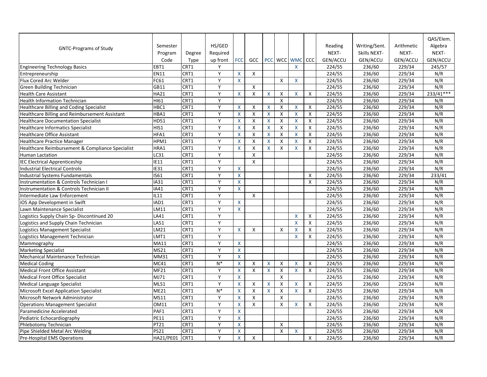|                                                    |                |        |          |                    |                    |              |                       |                         |              |                 |               |                 | QAS/Elem.       |
|----------------------------------------------------|----------------|--------|----------|--------------------|--------------------|--------------|-----------------------|-------------------------|--------------|-----------------|---------------|-----------------|-----------------|
|                                                    | Semester       |        | HS/GED   |                    |                    |              |                       |                         |              | Reading         | Writing/Sent. | Arithmetic      | Algebra         |
| <b>GNTC-Programs of Study</b>                      | Program        | Degree | Required |                    |                    |              |                       |                         |              | NEXT-           | Skills NEXT-  | NEXT-           | NEXT-           |
|                                                    | Code           | Type   | up front | <b>FCC</b>         | GCC                |              | PCC   WCC   WMC   CCC |                         |              | <b>GEN/ACCU</b> | GEN/ACCU      | <b>GEN/ACCU</b> | <b>GEN/ACCU</b> |
| <b>Engineering Technology Basics</b>               | EBT1           | CRT1   | Y        |                    |                    |              |                       | X                       |              | 224/55          | 236/60        | 229/34          | 245/57          |
| Entrepreneurship                                   | <b>EN11</b>    | CRT1   | Y        | X                  | X                  |              |                       |                         |              | 224/55          | 236/60        | 229/34          | N/R             |
| Flux Cored Arc Welder                              | <b>FC61</b>    | CRT1   | Y        | $\sf X$            |                    |              | $\pmb{\mathsf{X}}$    | $\sf X$                 |              | 224/55          | 236/60        | 229/34          | N/R             |
| <b>Green Building Technician</b>                   | GB11           | CRT1   | Y        |                    | Χ                  |              |                       |                         |              | 224/55          | 236/60        | 229/34          | N/R             |
| <b>Health Care Assistant</b>                       | <b>HA21</b>    | CRT1   | Y        | X                  | Χ                  | $\mathsf{X}$ | $\pmb{\mathsf{X}}$    | X                       | $\mathsf{X}$ | 224/55          | 236/60        | 229/34          | 233/41***       |
| <b>Health Information Technician</b>               | HI61           | CRT1   | Y        |                    |                    |              | X                     |                         |              | 224/55          | 236/60        | 229/34          | N/R             |
| <b>Healthcare Billing and Coding Specialist</b>    | HBC1           | CRT1   | Y        | X                  | $\pmb{\mathsf{X}}$ | X            | $\pmb{\mathsf{X}}$    | $\overline{\mathsf{X}}$ | X            | 224/55          | 236/60        | 229/34          | N/R             |
| Healthcare Billing and Reimbursement Assistant     | HBA1           | CRT1   | Y        | X                  | X                  | X            | X                     | X                       | X            | 224/55          | 236/60        | 229/34          | N/R             |
| <b>Healthcare Documentation Specialist</b>         | HD51           | CRT1   | Y        | X                  | Χ                  | X            | X                     | X                       | $\mathsf{X}$ | 224/55          | 236/60        | 229/34          | N/R             |
| <b>Healthcare Informatics Specialist</b>           | HIS1           | CRT1   | Y        | X                  | X                  | X.           | X                     | X                       | X            | 224/55          | 236/60        | 229/34          | N/R             |
| <b>Healthcare Office Assistant</b>                 | HFA1           | CRT1   | Y        | X                  | Χ                  | X            | $\pmb{\mathsf{X}}$    | X                       | $\mathsf{X}$ | 224/55          | 236/60        | 229/34          | N/R             |
| <b>Healthcare Practice Manager</b>                 | HPM1           | CRT1   | Y        | X                  | X                  | X            | X                     | X                       | $\mathsf{X}$ | 224/55          | 236/60        | 229/34          | N/R             |
| Healthcare Reimbursement & Compliance Specialist   | HRA1           | CRT1   | Y        | X                  | X                  | $\mathsf{X}$ | X                     | X                       | $\mathsf{X}$ | 224/55          | 236/60        | 229/34          | N/R             |
| <b>Human Lactation</b>                             | LC31           | CRT1   | Y        |                    | $\pmb{\mathsf{X}}$ |              |                       |                         |              | 224/55          | 236/60        | 229/34          | N/R             |
| <b>IEC Electrical Apprenticeship</b>               | <b>IE11</b>    | CRT1   | Y        |                    | X                  |              |                       |                         |              | 224/55          | 236/60        | 229/34          | N/R             |
| <b>Industrial Electrical Controls</b>              | <b>IE31</b>    | CRT1   | Y        | X.                 |                    |              |                       |                         |              | 224/55          | 236/60        | 229/34          | N/R             |
| Industrial Systems Fundamentals                    | IS61           | CRT1   | Y        | X                  |                    |              |                       |                         | X            | 224/55          | 236/60        | 229/34          | 233/41          |
| <b>Instrumentation &amp; Controls Technician I</b> | <b>IA31</b>    | CRT1   | Y        | X                  |                    |              |                       |                         | $\mathsf{X}$ | 224/55          | 236/60        | 229/34          | N/R             |
| Instrumentation & Controls Technician II           | <b>IA41</b>    | CRT1   | Y        | $\mathsf{X}$       |                    |              |                       |                         |              | 224/55          | 236/60        | 229/34          | N/R             |
| Intermediate Law Enforcement                       | <b>IL11</b>    | CRT1   | Y        |                    | X                  |              |                       |                         |              | 224/55          | 236/60        | 229/34          | N/R             |
| iOS App Development in Swift                       | IAD1           | CRT1   | Y        | X                  |                    |              |                       |                         |              | 224/55          | 236/60        | 229/34          | N/R             |
| Lawn Maintenance Specialist                        | LM11           | CRT1   | Y        | X                  |                    |              |                       |                         |              | 224/55          | 236/60        | 229/34          | N/R             |
| Logistics Supply Chain Sp-Discontinued 20          | LA41           | CRT1   | Y        |                    |                    |              |                       | X                       | X            | 224/55          | 236/60        | 229/34          | N/R             |
| Logistics and Supply Chain Technician              | LA51           | CRT1   | Y        |                    |                    |              |                       | X                       | $\mathsf{X}$ | 224/55          | 236/60        | 229/34          | N/R             |
| Logistics Management Specialist                    | LM21           | CRT1   | Y        | X                  | X                  |              | X                     | X                       | X            | 224/55          | 236/60        | 229/34          | N/R             |
| Logistics Management Technician                    | LMT1           | CRT1   | Y        |                    |                    |              |                       | X                       | X            | 224/55          | 236/60        | 229/34          | N/R             |
| Mammography                                        | <b>MA11</b>    | CRT1   | Y        | $\mathsf{X}$       |                    |              |                       |                         |              | 224/55          | 236/60        | 229/34          | N/R             |
| <b>Marketing Specialist</b>                        | <b>MS21</b>    | CRT1   | Y        | $\pmb{\mathsf{X}}$ |                    |              |                       |                         |              | 224/55          | 236/60        | 229/34          | N/R             |
| Mechanical Maintenance Technician                  | <b>MM31</b>    | CRT1   | Y        | X                  |                    |              |                       |                         |              | 224/55          | 236/60        | 229/34          | N/R             |
| <b>Medical Coding</b>                              | <b>MC41</b>    | CRT1   | $N^*$    | X                  | X                  | $\mathsf{X}$ | X                     | X                       | X            | 224/55          | 236/60        | 229/34          | N/R             |
| Medical Front Office Assistant                     | <b>MF21</b>    | CRT1   | Y        | X                  | X                  | $\mathsf{X}$ | X                     | X                       | X            | 224/55          | 236/60        | 229/34          | N/R             |
| <b>Medical Front Office Specialist</b>             | MJ71           | CRT1   | Y        | $\sf X$            |                    |              | X                     |                         |              | 224/55          | 236/60        | 229/34          | N/R             |
| <b>Medical Language Specialist</b>                 | MLS1           | CRT1   | Y        | X                  | Χ                  | X            | X                     | X                       | X            | 224/55          | 236/60        | 229/34          | N/R             |
| Microsoft Excel Application Specialist             | <b>ME21</b>    | CRT1   | $N^*$    | $\pmb{\mathsf{X}}$ | X                  | X            | $\pmb{\mathsf{X}}$    | X                       | $\mathsf{X}$ | 224/55          | 236/60        | 229/34          | N/R             |
| Microsoft Network Administrator                    | <b>MS11</b>    | CRT1   | Y        | X                  | χ                  |              | X                     |                         |              | 224/55          | 236/60        | 229/34          | N/R             |
| <b>Operations Management Specialist</b>            | <b>OM11</b>    | CRT1   | Y        | X                  | X                  |              | $\pmb{\mathsf{X}}$    | X                       | X            | 224/55          | 236/60        | 229/34          | N/R             |
| Paramedicine Accelerated                           | PAF1           | CRT1   | Y        | X                  |                    |              |                       |                         |              | 224/55          | 236/60        | 229/34          | N/R             |
| Pediatric Echocardiography                         | <b>PE11</b>    | CRT1   | Y        | X                  |                    |              |                       |                         |              | 224/55          | 236/60        | 229/34          | N/R             |
| Phlebotomy Technician                              | <b>PT21</b>    | CRT1   | Y        | X                  |                    |              | Χ                     |                         |              | 224/55          | 236/60        | 229/34          | N/R             |
| Pipe Shielded Metal Arc Welding                    | <b>PS21</b>    | CRT1   | Y        | $\mathsf{X}$       |                    |              | X                     | X                       |              | 224/55          | 236/60        | 229/34          | N/R             |
| <b>Pre-Hospital EMS Operations</b>                 | HA21/PE01 CRT1 |        | Y        | $\mathsf{X}^-$     | X                  |              |                       |                         | $\mathsf{X}$ | 224/55          | 236/60        | 229/34          | N/R             |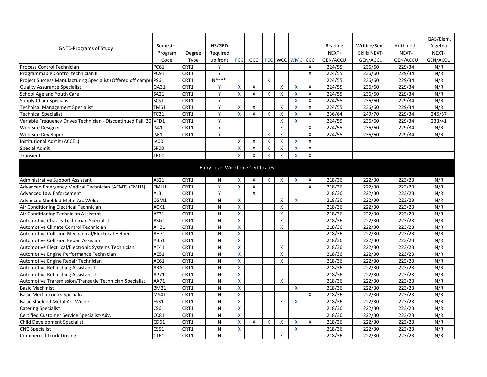| HS/GED<br>Writing/Sent.<br>Algebra<br>Reading<br>Arithmetic<br>Semester<br><b>GNTC-Programs of Study</b><br>NEXT-<br>NEXT-<br>Required<br>NEXT-<br>Skills NEXT-<br>Program<br>Degree<br>GEN/ACCU<br><b>FCC</b><br>PCC WCC WMC CCC<br><b>GEN/ACCU</b><br><b>GEN/ACCU</b><br><b>GEN/ACCU</b><br>Code<br><b>Type</b><br>up front<br><b>GCC</b><br>CRT1<br><b>PC61</b><br>X<br>229/34<br>N/R<br><b>Process Control Technician I</b><br>$\checkmark$<br>224/55<br>236/60<br>Y<br><b>PC91</b><br>CRT1<br>X<br>224/55<br>236/60<br>229/34<br>N/R<br>Programmable Control technician II<br>$N***$<br>Project Success Manufacturing Specialist (Offered off campul PS61<br>CRT1<br>X<br>N/R<br>224/55<br>236/60<br>229/34<br><b>Quality Assurance Specialist</b><br>CRT1<br>Y<br>X<br>X<br>$\mathsf{X}$<br>X<br>224/55<br>229/34<br>N/R<br>QA31<br>236/60<br>School Age and Youth Care<br><b>SA21</b><br>CRT1<br>Y<br>$\boldsymbol{\mathsf{X}}$<br>X<br>224/55<br>N/R<br>X<br>X<br>X<br>236/60<br>229/34<br>Χ<br>SCS1<br>CRT1<br>v<br>X<br>229/34<br>N/R<br>Supply Chain Specialist<br>X<br>224/55<br>236/60<br>$\mathsf{V}$<br>TMS1<br>CRT1<br>X<br>$\pmb{\mathsf{X}}$<br>$\overline{\mathsf{x}}$<br>X<br>224/55<br>229/34<br>N/R<br><b>Technical Management Specialist</b><br>236/60<br>X<br>CRT1<br><b>Technical Specialist</b><br><b>TC31</b><br>Y<br>X<br>X<br>236/64<br>229/34<br>245/57<br>Χ<br>X<br>X<br>249/70<br>x<br>CRT1<br>Y<br>229/34<br>233/41<br>Variable Frequency Drives Technician - Discontinued Fall '20 VFD1<br>X<br>X<br>224/55<br>236/60<br>CRT1<br>v<br>X<br><b>Web Site Designer</b><br><b>IS41</b><br>X<br>236/60<br>229/34<br>N/R<br>224/55<br>CRT1<br>Y<br>$\pmb{\mathsf{X}}$<br><b>Web Site Developer</b><br>ISE1<br>X<br>X<br>224/55<br>229/34<br>N/R<br>236/60<br>Institutional Admit (ACCEL)<br><b>IA00</b><br>X<br>X<br>Χ<br>X<br>Χ<br>Χ<br>X<br><b>SP00</b><br>X<br>X<br>X<br>Special Admit |           |             |  |   |   |                    |                           |   |   |  | QAS/Elem. |
|-----------------------------------------------------------------------------------------------------------------------------------------------------------------------------------------------------------------------------------------------------------------------------------------------------------------------------------------------------------------------------------------------------------------------------------------------------------------------------------------------------------------------------------------------------------------------------------------------------------------------------------------------------------------------------------------------------------------------------------------------------------------------------------------------------------------------------------------------------------------------------------------------------------------------------------------------------------------------------------------------------------------------------------------------------------------------------------------------------------------------------------------------------------------------------------------------------------------------------------------------------------------------------------------------------------------------------------------------------------------------------------------------------------------------------------------------------------------------------------------------------------------------------------------------------------------------------------------------------------------------------------------------------------------------------------------------------------------------------------------------------------------------------------------------------------------------------------------------------------------------------------------------------------------------|-----------|-------------|--|---|---|--------------------|---------------------------|---|---|--|-----------|
|                                                                                                                                                                                                                                                                                                                                                                                                                                                                                                                                                                                                                                                                                                                                                                                                                                                                                                                                                                                                                                                                                                                                                                                                                                                                                                                                                                                                                                                                                                                                                                                                                                                                                                                                                                                                                                                                                                                       |           |             |  |   |   |                    |                           |   |   |  |           |
|                                                                                                                                                                                                                                                                                                                                                                                                                                                                                                                                                                                                                                                                                                                                                                                                                                                                                                                                                                                                                                                                                                                                                                                                                                                                                                                                                                                                                                                                                                                                                                                                                                                                                                                                                                                                                                                                                                                       |           |             |  |   |   |                    |                           |   |   |  |           |
|                                                                                                                                                                                                                                                                                                                                                                                                                                                                                                                                                                                                                                                                                                                                                                                                                                                                                                                                                                                                                                                                                                                                                                                                                                                                                                                                                                                                                                                                                                                                                                                                                                                                                                                                                                                                                                                                                                                       |           |             |  |   |   |                    |                           |   |   |  |           |
|                                                                                                                                                                                                                                                                                                                                                                                                                                                                                                                                                                                                                                                                                                                                                                                                                                                                                                                                                                                                                                                                                                                                                                                                                                                                                                                                                                                                                                                                                                                                                                                                                                                                                                                                                                                                                                                                                                                       |           |             |  |   |   |                    |                           |   |   |  |           |
|                                                                                                                                                                                                                                                                                                                                                                                                                                                                                                                                                                                                                                                                                                                                                                                                                                                                                                                                                                                                                                                                                                                                                                                                                                                                                                                                                                                                                                                                                                                                                                                                                                                                                                                                                                                                                                                                                                                       |           |             |  |   |   |                    |                           |   |   |  |           |
|                                                                                                                                                                                                                                                                                                                                                                                                                                                                                                                                                                                                                                                                                                                                                                                                                                                                                                                                                                                                                                                                                                                                                                                                                                                                                                                                                                                                                                                                                                                                                                                                                                                                                                                                                                                                                                                                                                                       |           |             |  |   |   |                    |                           |   |   |  |           |
|                                                                                                                                                                                                                                                                                                                                                                                                                                                                                                                                                                                                                                                                                                                                                                                                                                                                                                                                                                                                                                                                                                                                                                                                                                                                                                                                                                                                                                                                                                                                                                                                                                                                                                                                                                                                                                                                                                                       |           |             |  |   |   |                    |                           |   |   |  |           |
|                                                                                                                                                                                                                                                                                                                                                                                                                                                                                                                                                                                                                                                                                                                                                                                                                                                                                                                                                                                                                                                                                                                                                                                                                                                                                                                                                                                                                                                                                                                                                                                                                                                                                                                                                                                                                                                                                                                       |           |             |  |   |   |                    |                           |   |   |  |           |
|                                                                                                                                                                                                                                                                                                                                                                                                                                                                                                                                                                                                                                                                                                                                                                                                                                                                                                                                                                                                                                                                                                                                                                                                                                                                                                                                                                                                                                                                                                                                                                                                                                                                                                                                                                                                                                                                                                                       |           |             |  |   |   |                    |                           |   |   |  |           |
|                                                                                                                                                                                                                                                                                                                                                                                                                                                                                                                                                                                                                                                                                                                                                                                                                                                                                                                                                                                                                                                                                                                                                                                                                                                                                                                                                                                                                                                                                                                                                                                                                                                                                                                                                                                                                                                                                                                       |           |             |  |   |   |                    |                           |   |   |  |           |
|                                                                                                                                                                                                                                                                                                                                                                                                                                                                                                                                                                                                                                                                                                                                                                                                                                                                                                                                                                                                                                                                                                                                                                                                                                                                                                                                                                                                                                                                                                                                                                                                                                                                                                                                                                                                                                                                                                                       |           |             |  |   |   |                    |                           |   |   |  |           |
|                                                                                                                                                                                                                                                                                                                                                                                                                                                                                                                                                                                                                                                                                                                                                                                                                                                                                                                                                                                                                                                                                                                                                                                                                                                                                                                                                                                                                                                                                                                                                                                                                                                                                                                                                                                                                                                                                                                       |           |             |  |   |   |                    |                           |   |   |  |           |
|                                                                                                                                                                                                                                                                                                                                                                                                                                                                                                                                                                                                                                                                                                                                                                                                                                                                                                                                                                                                                                                                                                                                                                                                                                                                                                                                                                                                                                                                                                                                                                                                                                                                                                                                                                                                                                                                                                                       |           |             |  |   |   |                    |                           |   |   |  |           |
|                                                                                                                                                                                                                                                                                                                                                                                                                                                                                                                                                                                                                                                                                                                                                                                                                                                                                                                                                                                                                                                                                                                                                                                                                                                                                                                                                                                                                                                                                                                                                                                                                                                                                                                                                                                                                                                                                                                       |           |             |  |   |   |                    |                           |   |   |  |           |
|                                                                                                                                                                                                                                                                                                                                                                                                                                                                                                                                                                                                                                                                                                                                                                                                                                                                                                                                                                                                                                                                                                                                                                                                                                                                                                                                                                                                                                                                                                                                                                                                                                                                                                                                                                                                                                                                                                                       |           |             |  |   |   |                    |                           |   |   |  |           |
|                                                                                                                                                                                                                                                                                                                                                                                                                                                                                                                                                                                                                                                                                                                                                                                                                                                                                                                                                                                                                                                                                                                                                                                                                                                                                                                                                                                                                                                                                                                                                                                                                                                                                                                                                                                                                                                                                                                       |           |             |  |   |   |                    |                           |   |   |  |           |
|                                                                                                                                                                                                                                                                                                                                                                                                                                                                                                                                                                                                                                                                                                                                                                                                                                                                                                                                                                                                                                                                                                                                                                                                                                                                                                                                                                                                                                                                                                                                                                                                                                                                                                                                                                                                                                                                                                                       |           |             |  |   |   |                    |                           |   |   |  |           |
|                                                                                                                                                                                                                                                                                                                                                                                                                                                                                                                                                                                                                                                                                                                                                                                                                                                                                                                                                                                                                                                                                                                                                                                                                                                                                                                                                                                                                                                                                                                                                                                                                                                                                                                                                                                                                                                                                                                       | Transient | <b>TR00</b> |  | Χ | X | $\pmb{\mathsf{X}}$ | $\boldsymbol{\mathsf{X}}$ | X | X |  |           |
|                                                                                                                                                                                                                                                                                                                                                                                                                                                                                                                                                                                                                                                                                                                                                                                                                                                                                                                                                                                                                                                                                                                                                                                                                                                                                                                                                                                                                                                                                                                                                                                                                                                                                                                                                                                                                                                                                                                       |           |             |  |   |   |                    |                           |   |   |  |           |
| <b>Entry Level Workforce Certificates</b>                                                                                                                                                                                                                                                                                                                                                                                                                                                                                                                                                                                                                                                                                                                                                                                                                                                                                                                                                                                                                                                                                                                                                                                                                                                                                                                                                                                                                                                                                                                                                                                                                                                                                                                                                                                                                                                                             |           |             |  |   |   |                    |                           |   |   |  |           |
| CRT1<br>AS21<br>$\mathsf{X}$<br>X<br>218/36<br>N<br>X<br>X<br>$\boldsymbol{\mathsf{X}}$<br>$\boldsymbol{\mathsf{X}}$<br>222/30<br>223/23<br>N/R<br>Administrative Support Assistant                                                                                                                                                                                                                                                                                                                                                                                                                                                                                                                                                                                                                                                                                                                                                                                                                                                                                                                                                                                                                                                                                                                                                                                                                                                                                                                                                                                                                                                                                                                                                                                                                                                                                                                                   |           |             |  |   |   |                    |                           |   |   |  |           |
| Y<br>EMH1<br>CRT1<br>X<br>X<br>218/36<br>222/30<br>223/23<br>N/R<br>Advanced Emergency Medical Technician (AEMT) (EMH1)<br>x                                                                                                                                                                                                                                                                                                                                                                                                                                                                                                                                                                                                                                                                                                                                                                                                                                                                                                                                                                                                                                                                                                                                                                                                                                                                                                                                                                                                                                                                                                                                                                                                                                                                                                                                                                                          |           |             |  |   |   |                    |                           |   |   |  |           |
| Y<br>Advanced Law Enforcement<br>CRT1<br>218/36<br>N/R<br>AL31<br>X<br>222/30<br>223/23                                                                                                                                                                                                                                                                                                                                                                                                                                                                                                                                                                                                                                                                                                                                                                                                                                                                                                                                                                                                                                                                                                                                                                                                                                                                                                                                                                                                                                                                                                                                                                                                                                                                                                                                                                                                                               |           |             |  |   |   |                    |                           |   |   |  |           |
| Advanced Shielded Metal Arc Welder<br>CRT1<br>X<br>X<br>218/36<br>N/R<br>OSM1<br>N<br>Χ<br>222/30<br>223/23                                                                                                                                                                                                                                                                                                                                                                                                                                                                                                                                                                                                                                                                                                                                                                                                                                                                                                                                                                                                                                                                                                                                                                                                                                                                                                                                                                                                                                                                                                                                                                                                                                                                                                                                                                                                           |           |             |  |   |   |                    |                           |   |   |  |           |
| CRT1<br>$\pmb{\mathsf{X}}$<br>218/36<br>223/23<br>N/R<br>Air Conditioning Electrical Technician<br>ACK1<br>N<br>X<br>222/30                                                                                                                                                                                                                                                                                                                                                                                                                                                                                                                                                                                                                                                                                                                                                                                                                                                                                                                                                                                                                                                                                                                                                                                                                                                                                                                                                                                                                                                                                                                                                                                                                                                                                                                                                                                           |           |             |  |   |   |                    |                           |   |   |  |           |
| AZ31<br>CRT1<br>N<br>X<br>N/R<br>Air Conditioning Technician Assistant<br>Χ<br>218/36<br>222/30<br>223/23                                                                                                                                                                                                                                                                                                                                                                                                                                                                                                                                                                                                                                                                                                                                                                                                                                                                                                                                                                                                                                                                                                                                                                                                                                                                                                                                                                                                                                                                                                                                                                                                                                                                                                                                                                                                             |           |             |  |   |   |                    |                           |   |   |  |           |
| ASG1<br>CRT1<br>$\pmb{\mathsf{X}}$<br>218/36<br>223/23<br>N/R<br>Automotive Chassis Technician Specialist<br>N<br>X<br>222/30                                                                                                                                                                                                                                                                                                                                                                                                                                                                                                                                                                                                                                                                                                                                                                                                                                                                                                                                                                                                                                                                                                                                                                                                                                                                                                                                                                                                                                                                                                                                                                                                                                                                                                                                                                                         |           |             |  |   |   |                    |                           |   |   |  |           |
| CRT1<br>Automotive Climate Control Technician<br>AH21<br>N<br>218/36<br>223/23<br>N/R<br>Χ<br>X<br>222/30                                                                                                                                                                                                                                                                                                                                                                                                                                                                                                                                                                                                                                                                                                                                                                                                                                                                                                                                                                                                                                                                                                                                                                                                                                                                                                                                                                                                                                                                                                                                                                                                                                                                                                                                                                                                             |           |             |  |   |   |                    |                           |   |   |  |           |
| CRT1<br>AH71<br><b>Y</b><br>218/36<br>222/30<br>223/23<br>N/R<br>N<br>Automotive Collision Mechanical/Electrical Helper<br>$\Lambda$                                                                                                                                                                                                                                                                                                                                                                                                                                                                                                                                                                                                                                                                                                                                                                                                                                                                                                                                                                                                                                                                                                                                                                                                                                                                                                                                                                                                                                                                                                                                                                                                                                                                                                                                                                                  |           |             |  |   |   |                    |                           |   |   |  |           |
| CRT1<br>X<br>AB51<br>N<br>N/R<br>Automotive Collision Repair Assistant I<br>218/36<br>222/30<br>223/23                                                                                                                                                                                                                                                                                                                                                                                                                                                                                                                                                                                                                                                                                                                                                                                                                                                                                                                                                                                                                                                                                                                                                                                                                                                                                                                                                                                                                                                                                                                                                                                                                                                                                                                                                                                                                |           |             |  |   |   |                    |                           |   |   |  |           |
| Automotive Electrical/Electronic Systems Technician<br>CRT1<br>AE41<br>N<br>Χ<br>X<br>218/36<br>222/30<br>223/23<br>N/R                                                                                                                                                                                                                                                                                                                                                                                                                                                                                                                                                                                                                                                                                                                                                                                                                                                                                                                                                                                                                                                                                                                                                                                                                                                                                                                                                                                                                                                                                                                                                                                                                                                                                                                                                                                               |           |             |  |   |   |                    |                           |   |   |  |           |
| Automotive Engine Performance Technician<br>AE51<br>CRT1<br>N<br>X<br>218/36<br>222/30<br>223/23<br>N/R<br>X                                                                                                                                                                                                                                                                                                                                                                                                                                                                                                                                                                                                                                                                                                                                                                                                                                                                                                                                                                                                                                                                                                                                                                                                                                                                                                                                                                                                                                                                                                                                                                                                                                                                                                                                                                                                          |           |             |  |   |   |                    |                           |   |   |  |           |
| AE61<br>CRT1<br>218/36<br>N/R<br>Automotive Engine Repair Technician<br>N<br>X<br>X<br>222/30<br>223/23                                                                                                                                                                                                                                                                                                                                                                                                                                                                                                                                                                                                                                                                                                                                                                                                                                                                                                                                                                                                                                                                                                                                                                                                                                                                                                                                                                                                                                                                                                                                                                                                                                                                                                                                                                                                               |           |             |  |   |   |                    |                           |   |   |  |           |
| Automotive Refinishing Assistant 1<br>ARA1<br>CRT1<br>N<br>Χ<br>218/36<br>222/30<br>223/23<br>N/R                                                                                                                                                                                                                                                                                                                                                                                                                                                                                                                                                                                                                                                                                                                                                                                                                                                                                                                                                                                                                                                                                                                                                                                                                                                                                                                                                                                                                                                                                                                                                                                                                                                                                                                                                                                                                     |           |             |  |   |   |                    |                           |   |   |  |           |
| CRT1<br>$\mathsf{N}$<br>218/36<br>N/R<br><b>Automotive Refinishing Assistant II</b><br>AP71<br>X<br>222/30<br>223/23                                                                                                                                                                                                                                                                                                                                                                                                                                                                                                                                                                                                                                                                                                                                                                                                                                                                                                                                                                                                                                                                                                                                                                                                                                                                                                                                                                                                                                                                                                                                                                                                                                                                                                                                                                                                  |           |             |  |   |   |                    |                           |   |   |  |           |
| Automotive Transmission/Transaxle Technician Specialist<br>AA71<br>CRT1<br>X<br>218/36<br>223/23<br>N<br>222/30<br>N/R<br>x                                                                                                                                                                                                                                                                                                                                                                                                                                                                                                                                                                                                                                                                                                                                                                                                                                                                                                                                                                                                                                                                                                                                                                                                                                                                                                                                                                                                                                                                                                                                                                                                                                                                                                                                                                                           |           |             |  |   |   |                    |                           |   |   |  |           |
| CRT1<br>$\mathsf{N}$<br>$\boldsymbol{\mathsf{X}}$<br>218/36<br><b>Basic Machinist</b><br><b>BM31</b><br>X<br>222/30<br>223/23<br>N/R                                                                                                                                                                                                                                                                                                                                                                                                                                                                                                                                                                                                                                                                                                                                                                                                                                                                                                                                                                                                                                                                                                                                                                                                                                                                                                                                                                                                                                                                                                                                                                                                                                                                                                                                                                                  |           |             |  |   |   |                    |                           |   |   |  |           |
| CRT1<br>N<br>Χ<br>X<br>218/36<br>223/23<br>N/R<br><b>Basic Mechatronics Specialist</b><br>MS41<br>222/30                                                                                                                                                                                                                                                                                                                                                                                                                                                                                                                                                                                                                                                                                                                                                                                                                                                                                                                                                                                                                                                                                                                                                                                                                                                                                                                                                                                                                                                                                                                                                                                                                                                                                                                                                                                                              |           |             |  |   |   |                    |                           |   |   |  |           |
| FS31<br>CRT1<br>Basic Shielded Metal Arc Welder<br>N<br>X<br>X<br>218/36<br>222/30<br>223/23<br>N/R<br>$\boldsymbol{\mathsf{X}}$                                                                                                                                                                                                                                                                                                                                                                                                                                                                                                                                                                                                                                                                                                                                                                                                                                                                                                                                                                                                                                                                                                                                                                                                                                                                                                                                                                                                                                                                                                                                                                                                                                                                                                                                                                                      |           |             |  |   |   |                    |                           |   |   |  |           |
| CRT1<br>CS61<br>Χ<br>218/36<br>223/23<br>N/R<br><b>Catering Specialist</b><br>N<br>222/30                                                                                                                                                                                                                                                                                                                                                                                                                                                                                                                                                                                                                                                                                                                                                                                                                                                                                                                                                                                                                                                                                                                                                                                                                                                                                                                                                                                                                                                                                                                                                                                                                                                                                                                                                                                                                             |           |             |  |   |   |                    |                           |   |   |  |           |
| Certified Customer Service Specialist-Adv.<br><b>CC81</b><br>CRT1<br>N<br>X<br>218/36<br>222/30<br>223/23<br>N/R                                                                                                                                                                                                                                                                                                                                                                                                                                                                                                                                                                                                                                                                                                                                                                                                                                                                                                                                                                                                                                                                                                                                                                                                                                                                                                                                                                                                                                                                                                                                                                                                                                                                                                                                                                                                      |           |             |  |   |   |                    |                           |   |   |  |           |
| CRT1<br><b>Child Development Specialist</b><br>CD61<br>X<br>$\sf X$<br>X<br>X<br>218/36<br>222/30<br>223/23<br>N/R<br>N<br>Χ                                                                                                                                                                                                                                                                                                                                                                                                                                                                                                                                                                                                                                                                                                                                                                                                                                                                                                                                                                                                                                                                                                                                                                                                                                                                                                                                                                                                                                                                                                                                                                                                                                                                                                                                                                                          |           |             |  |   |   |                    |                           |   |   |  |           |
| <b>CS51</b><br>CRT1<br><b>CNC Specialist</b><br>N<br>Χ<br>X<br>218/36<br>222/30<br>223/23<br>N/R                                                                                                                                                                                                                                                                                                                                                                                                                                                                                                                                                                                                                                                                                                                                                                                                                                                                                                                                                                                                                                                                                                                                                                                                                                                                                                                                                                                                                                                                                                                                                                                                                                                                                                                                                                                                                      |           |             |  |   |   |                    |                           |   |   |  |           |
| Commercial Truck Driving<br>CT61<br>CRT1<br>X<br>218/36<br>N<br>222/30<br>223/23<br>N/R                                                                                                                                                                                                                                                                                                                                                                                                                                                                                                                                                                                                                                                                                                                                                                                                                                                                                                                                                                                                                                                                                                                                                                                                                                                                                                                                                                                                                                                                                                                                                                                                                                                                                                                                                                                                                               |           |             |  |   |   |                    |                           |   |   |  |           |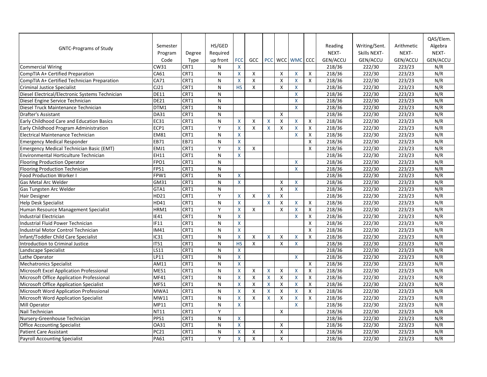|                                                 |             |             |              |                    |                    |              |   |                       |              |                 |                     |                 | QAS/Elem. |
|-------------------------------------------------|-------------|-------------|--------------|--------------------|--------------------|--------------|---|-----------------------|--------------|-----------------|---------------------|-----------------|-----------|
|                                                 | Semester    |             | HS/GED       |                    |                    |              |   |                       |              | Reading         | Writing/Sent.       | Arithmetic      | Algebra   |
| <b>GNTC-Programs of Study</b>                   | Program     | Degree      | Required     |                    |                    |              |   |                       |              | NEXT-           | <b>Skills NEXT-</b> | NEXT-           | NEXT-     |
|                                                 | Code        | <b>Type</b> | up front     | <b>FCC</b>         | <b>GCC</b>         |              |   | PCC   WCC   WMC   CCC |              | <b>GEN/ACCU</b> | <b>GEN/ACCU</b>     | <b>GEN/ACCU</b> | GEN/ACCU  |
| <b>Commercial Wiring</b>                        | <b>CW31</b> | CRT1        | N            | X                  |                    |              |   |                       |              | 218/36          | 222/30              | 223/23          | N/R       |
| CompTIA A+ Certified Preparation                | CA61        | CRT1        | $\mathsf{N}$ | X                  | X                  |              | X | X                     | X            | 218/36          | 222/30              | 223/23          | N/R       |
| CompTIA A+ Certified Technician Preparation     | CA71        | CRT1        | $\mathsf{N}$ | $\mathsf{X}$       | X                  |              | X | X                     | $\mathsf{X}$ | 218/36          | 222/30              | 223/23          | N/R       |
| <b>Criminal Justice Specialist</b>              | CJ21        | CRT1        | $\mathsf{N}$ | <b>HS</b>          | X                  |              | X | X                     |              | 218/36          | 222/30              | 223/23          | N/R       |
| Diesel Electrical/Electronic Systems Technician | <b>DE11</b> | CRT1        | $\mathsf{N}$ |                    |                    |              |   | X                     |              | 218/36          | 222/30              | 223/23          | N/R       |
| Diesel Engine Service Technician                | <b>DE21</b> | CRT1        | $\mathsf{N}$ |                    |                    |              |   | X                     |              | 218/36          | 222/30              | 223/23          | N/R       |
| Diesel Truck Maintenance Technician             | DTM1        | CRT1        | $\mathsf{N}$ |                    |                    |              |   | X                     |              | 218/36          | 222/30              | 223/23          | N/R       |
| <b>Drafter's Assistant</b>                      | <b>DA31</b> | CRT1        | ${\sf N}$    |                    |                    |              | X |                       |              | 218/36          | 222/30              | 223/23          | N/R       |
| Early Childhood Care and Education Basics       | <b>EC31</b> | CRT1        | $\mathsf{N}$ | X                  | Χ                  | $\mathsf{X}$ | X | X                     | X            | 218/36          | 222/30              | 223/23          | N/R       |
| Early Childhood Program Administration          | ECP1        | CRT1        | Y            | X                  | X                  | X            | X | X                     | X            | 218/36          | 222/30              | 223/23          | N/R       |
| Electrical Maintenance Technician               | <b>EM81</b> | CRT1        | $\mathsf{N}$ | $\mathsf{X}$       |                    |              |   | X                     | X            | 218/36          | 222/30              | 223/23          | N/R       |
| <b>Emergency Medical Responder</b>              | EB71        | EB71        | N            | X                  |                    |              |   |                       | X            | 218/36          | 222/30              | 223/23          | N/R       |
| <b>Emergency Medical Technician Basic (EMT)</b> | EMJ1        | CRT1        | Y            | X                  | X                  |              |   |                       | $\mathsf{X}$ | 218/36          | 222/30              | 223/23          | N/R       |
| Environmental Horticulture Technician           | <b>EH11</b> | CRT1        | N            | X.                 |                    |              |   |                       |              | 218/36          | 222/30              | 223/23          | N/R       |
| <b>Flooring Production Operator</b>             | FPO1        | CRT1        | $\mathsf{N}$ |                    |                    |              |   | X                     |              | 218/36          | 222/30              | 223/23          | N/R       |
| <b>Flooring Production Technician</b>           | <b>FP51</b> | CRT1        | N            |                    |                    |              |   | X                     |              | 218/36          | 222/30              | 223/23          | N/R       |
| <b>Food Production Worker I</b>                 | FPW1        | CRT1        | $\mathsf{N}$ | $\mathsf{X}$       |                    |              |   |                       |              | 218/36          | 222/30              | 223/23          | N/R       |
| <b>Gas Metal Arc Welder</b>                     | <b>GM31</b> | CRT1        | $\mathsf{N}$ | X                  |                    |              | X | X                     |              | 218/36          | 222/30              | 223/23          | N/R       |
| <b>Gas Tungsten Arc Welder</b>                  | GTA1        | CRT1        | $\mathsf{N}$ |                    |                    |              | X | $\sf X$               |              | 218/36          | 222/30              | 223/23          | N/R       |
| Hair Designer                                   | HD21        | CRT1        | Y            | X                  | X                  | X            | X |                       |              | 218/36          | 222/30              | 223/23          | N/R       |
| <b>Help Desk Specialist</b>                     | HD41        | CRT1        | $\mathsf{N}$ | $\mathsf{X}$       |                    | X            | X | X                     | X            | 218/36          | 222/30              | 223/23          | N/R       |
| Human Resource Management Specialist            | HRM1        | CRT1        | Y            | $\mathsf{X}$       | X                  |              | X | X                     | X            | 218/36          | 222/30              | 223/23          | N/R       |
| <b>Industrial Electrician</b>                   | IE41        | CRT1        | $\mathsf{N}$ | X                  |                    |              |   | X                     | X            | 218/36          | 222/30              | 223/23          | N/R       |
| Industrial Fluid Power Technician               | IF11        | CRT1        | $\mathsf{N}$ | X                  |                    |              |   |                       | X            | 218/36          | 222/30              | 223/23          | N/R       |
| Industrial Motor Control Technician             | <b>IM41</b> | CRT1        | $\mathsf{N}$ | X                  |                    |              |   |                       | X            | 218/36          | 222/30              | 223/23          | N/R       |
| Infant/Toddler Child Care Specialist            | IC31        | CRT1        | N            | X                  | X                  | X            | X | X                     | X            | 218/36          | 222/30              | 223/23          | N/R       |
| Introduction to Criminal Justice                | IT51        | CRT1        | ${\sf N}$    | <b>HS</b>          | $\pmb{\mathsf{X}}$ |              | X | X                     |              | 218/36          | 222/30              | 223/23          | N/R       |
| Landscape Specialist                            | LS11        | CRT1        | $\mathsf{N}$ | X                  |                    |              |   |                       |              | 218/36          | 222/30              | 223/23          | N/R       |
| Lathe Operator                                  | LP11        | CRT1        | ${\sf N}$    | X                  |                    |              |   | X                     |              | 218/36          | 222/30              | 223/23          | N/R       |
| Mechatronics Specialist                         | AM11        | CRT1        | $\mathsf{N}$ | $\pmb{\mathsf{X}}$ |                    |              |   |                       | $\mathsf{X}$ | 218/36          | 222/30              | 223/23          | N/R       |
| Microsoft Excel Application Professional        | <b>ME51</b> | CRT1        | N            | X                  | Χ                  | X            | X | X                     | X            | 218/36          | 222/30              | 223/23          | N/R       |
| Microsoft Office Application Professional       | MF41        | CRT1        | ${\sf N}$    | X                  | X                  | X            | X | X                     | $\mathsf{X}$ | 218/36          | 222/30              | 223/23          | N/R       |
| Microsoft Office Application Specialist         | <b>MF51</b> | CRT1        | N            | X                  | χ                  | X.           | X |                       | X            | 218/36          | 222/30              | 223/23          | N/R       |
| Microsoft Word Application Professional         | MWA1        | CRT1        | ${\sf N}$    | X                  | Χ                  | X            | X | X                     | $\mathsf{X}$ | 218/36          | 222/30              | 223/23          | N/R       |
| <b>Microsoft Word Application Specialist</b>    | <b>MW11</b> | CRT1        | N            | X                  | X                  | X.           | X | X                     | X            | 218/36          | 222/30              | 223/23          | N/R       |
| <b>Mill Operator</b>                            | <b>MP11</b> | CRT1        | N            | X                  |                    |              |   | X                     |              | 218/36          | 222/30              | 223/23          | N/R       |
| Nail Technician                                 | <b>NT11</b> | CRT1        | Y            |                    |                    |              | X |                       |              | 218/36          | 222/30              | 223/23          | N/R       |
| Nursery-Greenhouse Technician                   | PPS1        | CRT1        | $\mathsf{N}$ | $\mathsf{X}$       |                    |              |   |                       |              | 218/36          | 222/30              | 223/23          | N/R       |
| <b>Office Accounting Specialist</b>             | <b>OA31</b> | CRT1        | N            | X                  |                    |              | X |                       |              | 218/36          | 222/30              | 223/23          | N/R       |
| <b>Patient Care Assistant</b>                   | <b>PC21</b> | CRT1        | ${\sf N}$    | X                  | X                  |              | X |                       |              | 218/36          | 222/30              | 223/23          | N/R       |
| <b>Payroll Accounting Specialist</b>            | <b>PA61</b> | CRT1        | Y            | $\mathsf{X}^-$     | X                  |              | X |                       |              | 218/36          | 222/30              | 223/23          | N/R       |
|                                                 |             |             |              |                    |                    |              |   |                       |              |                 |                     |                 |           |